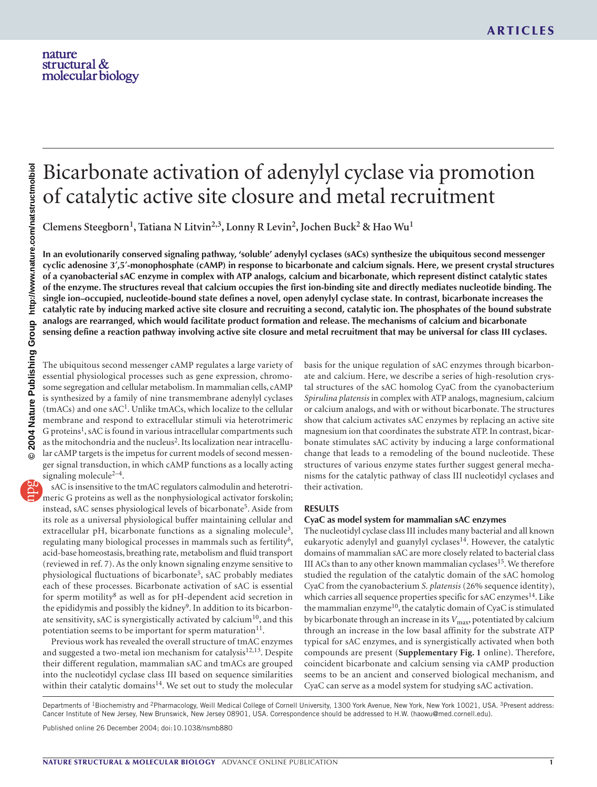# Bicarbonate activation of adenylyl cyclase via promotion of catalytic active site closure and metal recruitment

**Clemens Steegborn1, Tatiana N Litvin2,3, Lonny R Levin2, Jochen Buck2 & Hao Wu1**

**In an evolutionarily conserved signaling pathway, 'soluble' adenylyl cyclases (sACs) synthesize the ubiquitous second messenger cyclic adenosine 3**′**,5**′**-monophosphate (cAMP) in response to bicarbonate and calcium signals. Here, we present crystal structures of a cyanobacterial sAC enzyme in complex with ATP analogs, calcium and bicarbonate, which represent distinct catalytic states of the enzyme. The structures reveal that calcium occupies the first ion-binding site and directly mediates nucleotide binding. The single ion–occupied, nucleotide-bound state defines a novel, open adenylyl cyclase state. In contrast, bicarbonate increases the catalytic rate by inducing marked active site closure and recruiting a second, catalytic ion. The phosphates of the bound substrate analogs are rearranged, which would facilitate product formation and release. The mechanisms of calcium and bicarbonate sensing define a reaction pathway involving active site closure and metal recruitment that may be universal for class III cyclases.**

The ubiquitous second messenger cAMP regulates a large variety of essential physiological processes such as gene expression, chromosome segregation and cellular metabolism. In mammalian cells, cAMP is synthesized by a family of nine transmembrane adenylyl cyclases  $(tmACs)$  and one sAC<sup>1</sup>. Unlike tmACs, which localize to the cellular membrane and respond to extracellular stimuli via heterotrimeric G proteins<sup>1</sup>, sAC is found in various intracellular compartments such as the mitochondria and the nucleus<sup>2</sup>. Its localization near intracellular cAMP targets is the impetus for current models of second messenger signal transduction, in which cAMP functions as a locally acting signaling molecule $2-4$ .

sAC is insensitive to the tmAC regulators calmodulin and heterotrimeric G proteins as well as the nonphysiological activator forskolin; instead, sAC senses physiological levels of bicarbonate<sup>5</sup>. Aside from its role as a universal physiological buffer maintaining cellular and extracellular pH, bicarbonate functions as a signaling molecule<sup>3</sup>, regulating many biological processes in mammals such as fertility<sup>6</sup>, acid-base homeostasis, breathing rate, metabolism and fluid transport (reviewed in ref. 7). As the only known signaling enzyme sensitive to physiological fluctuations of bicarbonate<sup>5</sup>, sAC probably mediates each of these processes. Bicarbonate activation of sAC is essential for sperm motility8 as well as for pH-dependent acid secretion in the epididymis and possibly the kidney<sup>9</sup>. In addition to its bicarbonate sensitivity, sAC is synergistically activated by calcium<sup>10</sup>, and this potentiation seems to be important for sperm maturation $11$ .

Previous work has revealed the overall structure of tmAC enzymes and suggested a two-metal ion mechanism for catalysis<sup>12,13</sup>. Despite their different regulation, mammalian sAC and tmACs are grouped into the nucleotidyl cyclase class III based on sequence similarities within their catalytic domains<sup>14</sup>. We set out to study the molecular basis for the unique regulation of sAC enzymes through bicarbonate and calcium. Here, we describe a series of high-resolution crystal structures of the sAC homolog CyaC from the cyanobacterium *Spirulina platensis* in complex with ATP analogs, magnesium, calcium or calcium analogs, and with or without bicarbonate. The structures show that calcium activates sAC enzymes by replacing an active site magnesium ion that coordinates the substrate ATP. In contrast, bicarbonate stimulates sAC activity by inducing a large conformational change that leads to a remodeling of the bound nucleotide. These structures of various enzyme states further suggest general mechanisms for the catalytic pathway of class III nucleotidyl cyclases and their activation.

## **RESULTS**

# **CyaC as model system for mammalian sAC enzymes**

The nucleotidyl cyclase class III includes many bacterial and all known eukaryotic adenylyl and guanylyl cyclases<sup>14</sup>. However, the catalytic domains of mammalian sAC are more closely related to bacterial class III ACs than to any other known mammalian cyclases<sup>15</sup>. We therefore studied the regulation of the catalytic domain of the sAC homolog CyaC from the cyanobacterium *S. platensis* (26% sequence identity), which carries all sequence properties specific for sAC enzymes $^{14}$ . Like the mammalian enzyme<sup>10</sup>, the catalytic domain of CyaC is stimulated by bicarbonate through an increase in its  $V_{\text{max}}$ , potentiated by calcium through an increase in the low basal affinity for the substrate ATP typical for sAC enzymes, and is synergistically activated when both compounds are present (**Supplementary Fig. 1** online). Therefore, coincident bicarbonate and calcium sensing via cAMP production seems to be an ancient and conserved biological mechanism, and CyaC can serve as a model system for studying sAC activation.

Departments of <sup>1</sup>Biochemistry and <sup>2</sup>Pharmacology, Weill Medical College of Cornell University, 1300 York Avenue, New York, New York 10021, USA. <sup>3</sup>Present address: Cancer Institute of New Jersey, New Brunswick, New Jersey 08901, USA. Correspondence should be addressed to H.W. (haowu@med.cornell.edu). Published online 26 December 2004; doi:10.1038/nsmb880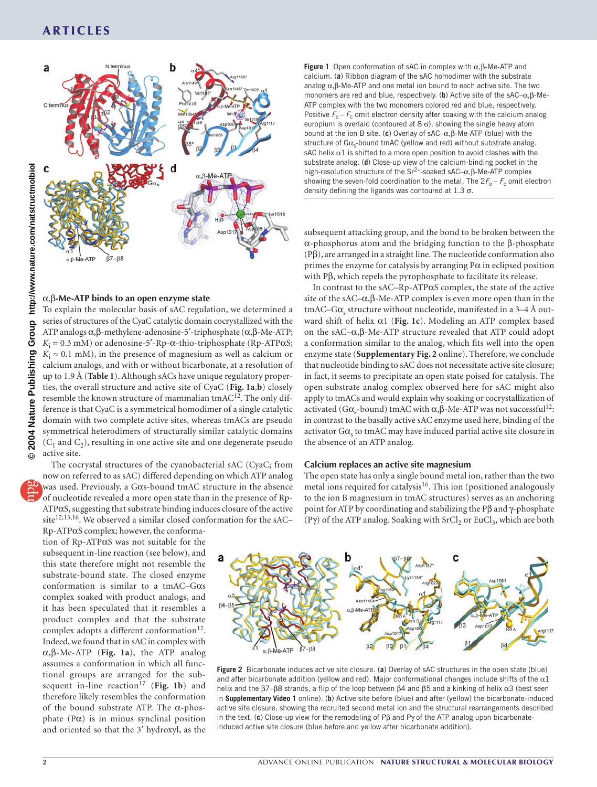

#### α,β**-Me-ATP binds to an open enzyme state**

To explain the molecular basis of sAC regulation, we determined a series of structures of the CyaC catalytic domain cocrystallized with the ATP analogs α,β-methylene-adenosine-5′-triphosphate (α,β-Me-ATP;  $K_i = 0.3$  mM) or adenosine-5'-Rp- $\alpha$ -thio-triphosphate (Rp-ATP $\alpha$ S;  $K_i \approx 0.1$  mM), in the presence of magnesium as well as calcium or calcium analogs, and with or without bicarbonate, at a resolution of up to 1.9 Å (**Table 1**). Although sACs have unique regulatory properties, the overall structure and active site of CyaC (**Fig. 1a**,**b**) closely resemble the known structure of mammalian tmAC<sup>12</sup>. The only difference is that CyaC is a symmetrical homodimer of a single catalytic domain with two complete active sites, whereas tmACs are pseudo symmetrical heterodimers of structurally similar catalytic domains  $(C_1$  and  $C_2$ ), resulting in one active site and one degenerate pseudo active site.

The cocrystal structures of the cyanobacterial sAC (CyaC; from now on referred to as sAC) differed depending on which ATP analog was used. Previously, a Gαs-bound tmAC structure in the absence of nucleotide revealed a more open state than in the presence of Rp-ATPαS, suggesting that substrate binding induces closure of the active site<sup>12,13,16</sup>. We observed a similar closed conformation for the sAC-

Rp-ATPαS complex; however, the conformation of Rp-ATPαS was not suitable for the subsequent in-line reaction (see below), and this state therefore might not resemble the substrate-bound state. The closed enzyme conformation is similar to a tmAC–Gαs complex soaked with product analogs, and it has been speculated that it resembles a product complex and that the substrate complex adopts a different conformation<sup>12</sup>. Indeed, we found that in sAC in complex with α,β-Me-ATP (**Fig. 1a**), the ATP analog assumes a conformation in which all functional groups are arranged for the subsequent in-line reaction<sup>17</sup> (Fig. 1b) and therefore likely resembles the conformation of the bound substrate ATP. The α-phosphate  $(P\alpha)$  is in minus synclinal position and oriented so that the 3′ hydroxyl, as the

**Figure 1** Open conformation of sAC in complex with α,β-Me-ATP and calcium. (**a**) Ribbon diagram of the sAC homodimer with the substrate analog  $\alpha$ ,  $\beta$ -Me-ATP and one metal ion bound to each active site. The two monomers are red and blue, respectively. (**b**) Active site of the sAC–α,β-Me-ATP complex with the two monomers colored red and blue, respectively. Positive  $F_{o} - F_{c}$  omit electron density after soaking with the calcium analog europium is overlaid (contoured at  $8 \sigma$ ), showing the single heavy atom bound at the ion B site. (**c**) Overlay of sAC–α,β-Me-ATP (blue) with the structure of  $G\alpha_{s}$ -bound tmAC (yellow and red) without substrate analog. sAC helix  $\alpha$ 1 is shifted to a more open position to avoid clashes with the substrate analog. (**d**) Close-up view of the calcium-binding pocket in the high-resolution structure of the Sr2<sup>+</sup>-soaked sAC–α,β-Me-ATP complex showing the seven-fold coordination to the metal. The  $2F_o - F_c$  omit electron density defining the ligands was contoured at  $1.3 \sigma$ .

subsequent attacking group, and the bond to be broken between the α-phosphorus atom and the bridging function to the β-phosphate (Pβ), are arranged in a straight line. The nucleotide conformation also primes the enzyme for catalysis by arranging  $P\alpha$  in eclipsed position with Pβ, which repels the pyrophosphate to facilitate its release.

In contrast to the sAC–Rp-ATPαS complex, the state of the active site of the sAC– $\alpha$ ,  $\beta$ -Me-ATP complex is even more open than in the  $tmAC-G\alpha_s$  structure without nucleotide, manifested in a 3–4 Å outward shift of helix α1 (**Fig. 1c**). Modeling an ATP complex based on the sAC–α,β-Me-ATP structure revealed that ATP could adopt a conformation similar to the analog, which fits well into the open enzyme state (**Supplementary Fig. 2** online). Therefore, we conclude that nucleotide binding to sAC does not necessitate active site closure; in fact, it seems to precipitate an open state poised for catalysis. The open substrate analog complex observed here for sAC might also apply to tmACs and would explain why soaking or cocrystallization of activated (Gα<sub>s</sub>-bound) tmAC with  $\alpha$ ,  $\beta$ -Me-ATP was not successful<sup>12</sup>: in contrast to the basally active sAC enzyme used here, binding of the activator  $G\alpha_s$  to tmAC may have induced partial active site closure in the absence of an ATP analog.

#### **Calcium replaces an active site magnesium**

The open state has only a single bound metal ion, rather than the two metal ions required for catalysis<sup>16</sup>. This ion (positioned analogously to the ion B magnesium in tmAC structures) serves as an anchoring point for ATP by coordinating and stabilizing the Pβ and γ-phosphate (Pγ) of the ATP analog. Soaking with  $SrCl<sub>2</sub>$  or EuCl<sub>3</sub>, which are both



**Figure 2** Bicarbonate induces active site closure. (**a**) Overlay of sAC structures in the open state (blue) and after bicarbonate addition (yellow and red). Major conformational changes include shifts of the  $\alpha$ 1 helix and the β7–β8 strands, a flip of the loop between β4 and β5 and a kinking of helix α3 (best seen in **Supplementary Video 1** online). (**b**) Active site before (blue) and after (yellow) the bicarbonate-induced active site closure, showing the recruited second metal ion and the structural rearrangements described in the text. (**c**) Close-up view for the remodeling of Pβ and Pγ of the ATP analog upon bicarbonateinduced active site closure (blue before and yellow after bicarbonate addition).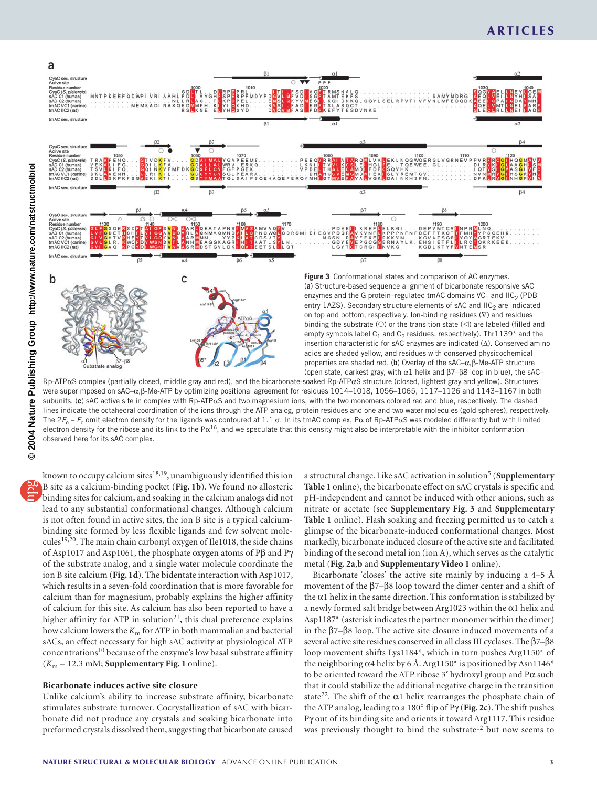

Rp-ATPαS complex (partially closed, middle gray and red), and the bicarbonate-soaked Rp-ATPαS structure (closed, lightest gray and yellow). Structures were superimposed on sAC–α,β-Me-ATP by optimizing positional agreement for residues 1014–1018, 1056–1065, 1117–1126 and 1143–1167 in both subunits. (**c**) sAC active site in complex with Rp-ATPαS and two magnesium ions, with the two monomers colored red and blue, respectively. The dashed lines indicate the octahedral coordination of the ions through the ATP analog, protein residues and one and two water molecules (gold spheres), respectively. The  $2F_0 - F_c$  omit electron density for the ligands was contoured at 1.1  $\sigma$ . In its tmAC complex, P $\alpha$  of Rp-ATP $\alpha$ S was modeled differently but with limited electron density for the ribose and its link to the P $\alpha^{16}$ , and we speculate that this density might also be interpretable with the inhibitor conformation observed here for its sAC complex.

**© 2004 Nature Publishing Group http://www.nature.com/natstructmolbiol**2004  $\odot$ 

**Nature** 

Publishing Group http://www.nature.com/natstructmolbiol

known to occupy calcium sites<sup>18,19</sup>, unambiguously identified this ion B site as a calcium-binding pocket (**Fig. 1b**). We found no allosteric binding sites for calcium, and soaking in the calcium analogs did not lead to any substantial conformational changes. Although calcium is not often found in active sites, the ion B site is a typical calciumbinding site formed by less flexible ligands and few solvent molecules<sup>19,20</sup>. The main chain carbonyl oxygen of Ile1018, the side chains of Asp1017 and Asp1061, the phosphate oxygen atoms of Pβ and Pγ of the substrate analog, and a single water molecule coordinate the ion B site calcium (**Fig. 1d**). The bidentate interaction with Asp1017, which results in a seven-fold coordination that is more favorable for calcium than for magnesium, probably explains the higher affinity of calcium for this site. As calcium has also been reported to have a higher affinity for ATP in solution<sup>21</sup>, this dual preference explains how calcium lowers the *K*m for ATP in both mammalian and bacterial sACs, an effect necessary for high sAC activity at physiological ATP concentrations<sup>10</sup> because of the enzyme's low basal substrate affinity  $(K<sub>m</sub> = 12.3$  mM; **Supplementary Fig. 1** online).

# **Bicarbonate induces active site closure**

Unlike calcium's ability to increase substrate affinity, bicarbonate stimulates substrate turnover. Cocrystallization of sAC with bicarbonate did not produce any crystals and soaking bicarbonate into preformed crystals dissolved them, suggesting that bicarbonate caused

a structural change. Like sAC activation in solution<sup>5</sup> (Supplementary **Table 1** online), the bicarbonate effect on sAC crystals is specific and pH-independent and cannot be induced with other anions, such as nitrate or acetate (see **Supplementary Fig. 3** and **Supplementary Table 1** online). Flash soaking and freezing permitted us to catch a glimpse of the bicarbonate-induced conformational changes. Most markedly, bicarbonate induced closure of the active site and facilitated binding of the second metal ion (ion A), which serves as the catalytic metal (**Fig. 2a**,**b** and **Supplementary Video 1** online).

Bicarbonate 'closes' the active site mainly by inducing a 4–5 Å movement of the β7–β8 loop toward the dimer center and a shift of the  $\alpha$ 1 helix in the same direction. This conformation is stabilized by a newly formed salt bridge between Arg1023 within the α1 helix and Asp1187\* (asterisk indicates the partner monomer within the dimer) in the β7–β8 loop. The active site closure induced movements of a several active site residues conserved in all class III cyclases. The β7–β8 loop movement shifts Lys1184\*, which in turn pushes Arg1150\* of the neighboring  $\alpha$ 4 helix by 6 Å. Arg1150\* is positioned by Asn1146\* to be oriented toward the ATP ribose 3' hydroxyl group and  $P\alpha$  such that it could stabilize the additional negative charge in the transition state<sup>22</sup>. The shift of the  $\alpha$ 1 helix rearranges the phosphate chain of the ATP analog, leading to a 180° flip of Pγ (**Fig. 2c**). The shift pushes Pγ out of its binding site and orients it toward Arg1117. This residue was previously thought to bind the substrate<sup>12</sup> but now seems to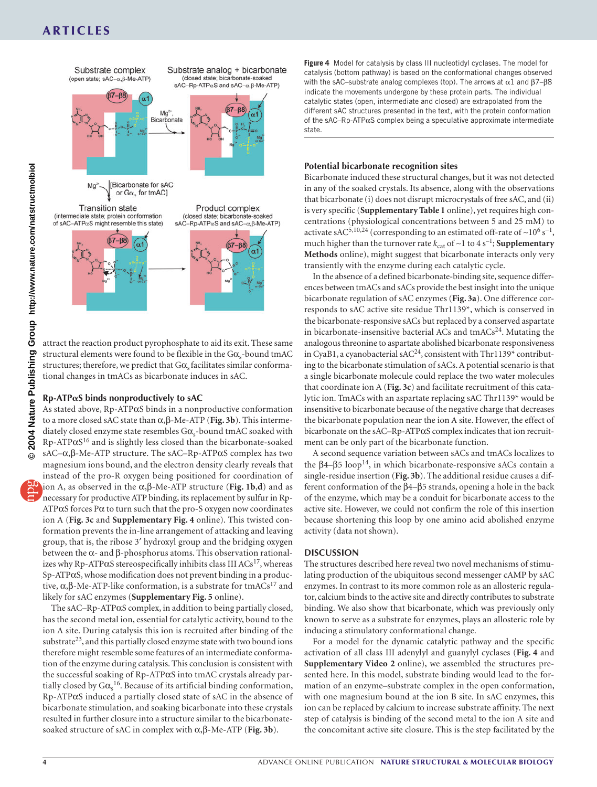# **ARTICLES**



attract the reaction product pyrophosphate to aid its exit. These same structural elements were found to be flexible in the  $G\alpha_{s}$ -bound tmAC structures; therefore, we predict that  $G\alpha$ , facilitates similar conformational changes in tmACs as bicarbonate induces in sAC.

#### **Rp-ATPS binds nonproductively to sAC**

As stated above, Rp-ATPαS binds in a nonproductive conformation to a more closed sAC state than α,β-Me-ATP (**Fig. 3b**). This intermediately closed enzyme state resembles  $G\alpha_s$ -bound tmAC soaked with Rp-ATPαS16 and is slightly less closed than the bicarbonate-soaked sAC–α,β-Me-ATP structure. The sAC–Rp-ATPαS complex has two magnesium ions bound, and the electron density clearly reveals that instead of the pro-R oxygen being positioned for coordination of ion A, as observed in the α,β-Me-ATP structure (**Fig. 1b**,**d**) and as necessary for productive ATP binding, its replacement by sulfur in Rp- $ATP\alpha S$  forces P $\alpha$  to turn such that the pro-S oxygen now coordinates ion A (**Fig. 3c** and **Supplementary Fig. 4** online). This twisted conformation prevents the in-line arrangement of attacking and leaving group, that is, the ribose 3′ hydroxyl group and the bridging oxygen between the α- and β-phosphorus atoms. This observation rationalizes why Rp-ATP $\alpha$ S stereospecifically inhibits class III ACs<sup>17</sup>, whereas Sp-ATPαS, whose modification does not prevent binding in a productive,  $\alpha$ , β-Me-ATP-like conformation, is a substrate for tmACs<sup>17</sup> and likely for sAC enzymes (**Supplementary Fig. 5** online).

The sAC–Rp-ATP $\alpha$ S complex, in addition to being partially closed, has the second metal ion, essential for catalytic activity, bound to the ion A site. During catalysis this ion is recruited after binding of the substrate<sup>23</sup>, and this partially closed enzyme state with two bound ions therefore might resemble some features of an intermediate conformation of the enzyme during catalysis. This conclusion is consistent with the successful soaking of Rp-ATPαS into tmAC crystals already partially closed by  $G\alpha_s^{16}$ . Because of its artificial binding conformation, Rp-ATPαS induced a partially closed state of sAC in the absence of bicarbonate stimulation, and soaking bicarbonate into these crystals resulted in further closure into a structure similar to the bicarbonatesoaked structure of sAC in complex with α,β-Me-ATP (**Fig. 3b**).

**Figure 4** Model for catalysis by class III nucleotidyl cyclases. The model for catalysis (bottom pathway) is based on the conformational changes observed with the sAC–substrate analog complexes (top). The arrows at  $α1$  and  $β7–β8$ indicate the movements undergone by these protein parts. The individual catalytic states (open, intermediate and closed) are extrapolated from the different sAC structures presented in the text, with the protein conformation of the sAC–Rp-ATP $\alpha$ S complex being a speculative approximate intermediate state.

### **Potential bicarbonate recognition sites**

Bicarbonate induced these structural changes, but it was not detected in any of the soaked crystals. Its absence, along with the observations that bicarbonate (i) does not disrupt microcrystals of free sAC, and (ii) is very specific (**Supplementary Table 1** online), yet requires high concentrations (physiological concentrations between 5 and 25 mM) to activate sAC<sup>5,10,24</sup> (corresponding to an estimated off-rate of ~10<sup>6</sup> s<sup>-1</sup>, much higher than the turnover rate  $k_{cat}$  of ~1 to 4 s<sup>-1</sup>; **Supplementary Methods** online), might suggest that bicarbonate interacts only very transiently with the enzyme during each catalytic cycle.

In the absence of a defined bicarbonate-binding site, sequence differences between tmACs and sACs provide the best insight into the unique bicarbonate regulation of sAC enzymes (**Fig. 3a**). One difference corresponds to sAC active site residue Thr1139\*, which is conserved in the bicarbonate-responsive sACs but replaced by a conserved aspartate in bicarbonate-insensitive bacterial ACs and  $tmACs<sup>24</sup>$ . Mutating the analogous threonine to aspartate abolished bicarbonate responsiveness in CyaB1, a cyanobacterial sAC<sup>24</sup>, consistent with Thr1139\* contributing to the bicarbonate stimulation of sACs. A potential scenario is that a single bicarbonate molecule could replace the two water molecules that coordinate ion A (**Fig. 3c**) and facilitate recruitment of this catalytic ion. TmACs with an aspartate replacing sAC Thr1139\* would be insensitive to bicarbonate because of the negative charge that decreases the bicarbonate population near the ion A site. However, the effect of bicarbonate on the sAC–Rp-ATPαS complex indicates that ion recruitment can be only part of the bicarbonate function.

A second sequence variation between sACs and tmACs localizes to the  $β4–β5 loop<sup>14</sup>$ , in which bicarbonate-responsive sACs contain a single-residue insertion (**Fig. 3b**). The additional residue causes a different conformation of the β4–β5 strands, opening a hole in the back of the enzyme, which may be a conduit for bicarbonate access to the active site. However, we could not confirm the role of this insertion because shortening this loop by one amino acid abolished enzyme activity (data not shown).

#### **DISCUSSION**

The structures described here reveal two novel mechanisms of stimulating production of the ubiquitous second messenger cAMP by sAC enzymes. In contrast to its more common role as an allosteric regulator, calcium binds to the active site and directly contributes to substrate binding. We also show that bicarbonate, which was previously only known to serve as a substrate for enzymes, plays an allosteric role by inducing a stimulatory conformational change.

For a model for the dynamic catalytic pathway and the specific activation of all class III adenylyl and guanylyl cyclases (**Fig. 4** and **Supplementary Video 2** online), we assembled the structures presented here. In this model, substrate binding would lead to the formation of an enzyme–substrate complex in the open conformation, with one magnesium bound at the ion B site. In sAC enzymes, this ion can be replaced by calcium to increase substrate affinity. The next step of catalysis is binding of the second metal to the ion A site and the concomitant active site closure. This is the step facilitated by the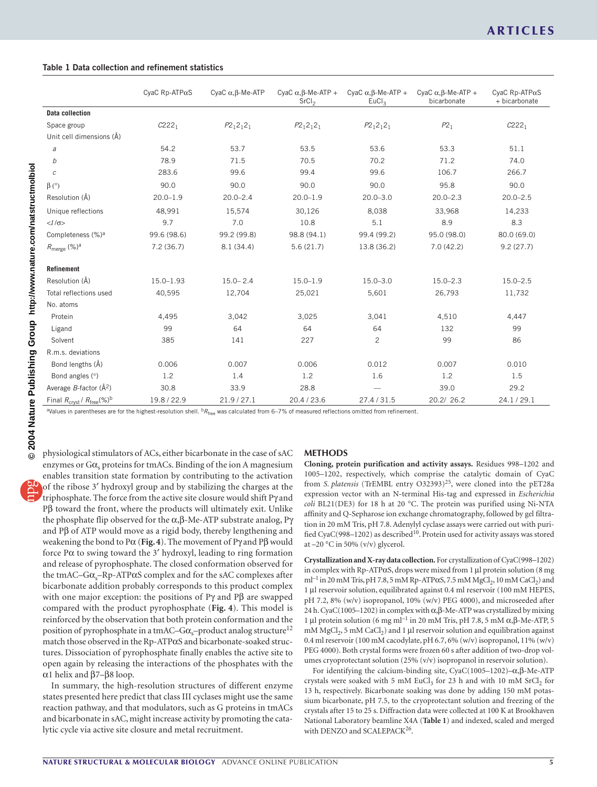|  |  |  |  | Table 1 Data collection and refinement statistics |  |
|--|--|--|--|---------------------------------------------------|--|
|--|--|--|--|---------------------------------------------------|--|

|                                                           | CyaC Rp-ATP $\alpha$ S | CyaC $\alpha$ , $\beta$ -Me-ATP | CyaC $\alpha$ , $\beta$ -Me-ATP +<br>SrCl <sub>2</sub> | CyaC $\alpha$ , $\beta$ -Me-ATP +<br>EuCl <sub>3</sub> | CyaC $\alpha$ , $\beta$ -Me-ATP +<br>bicarbonate | CyaC Rp-ATP $\alpha$ S<br>+ bicarbonate |
|-----------------------------------------------------------|------------------------|---------------------------------|--------------------------------------------------------|--------------------------------------------------------|--------------------------------------------------|-----------------------------------------|
| Data collection                                           |                        |                                 |                                                        |                                                        |                                                  |                                         |
| Space group                                               | $C222_1$               | $P2_12_12_1$                    | $P2_12_12_1$                                           | $P2_12_12_1$                                           | P2 <sub>1</sub>                                  | $C222_1$                                |
| Unit cell dimensions (Å)                                  |                        |                                 |                                                        |                                                        |                                                  |                                         |
| а                                                         | 54.2                   | 53.7                            | 53.5                                                   | 53.6                                                   | 53.3                                             | 51.1                                    |
| b                                                         | 78.9                   | 71.5                            | 70.5                                                   | 70.2                                                   | 71.2                                             | 74.0                                    |
| С                                                         | 283.6                  | 99.6                            | 99.4                                                   | 99.6                                                   | 106.7                                            | 266.7                                   |
| $\beta$ ( $\circ$ )                                       | 90.0                   | 90.0                            | 90.0                                                   | 90.0                                                   | 95.8                                             | 90.0                                    |
| Resolution (Å)                                            | $20.0 - 1.9$           | $20.0 - 2.4$                    | $20.0 - 1.9$                                           | $20.0 - 3.0$                                           | $20.0 - 2.3$                                     | $20.0 - 2.5$                            |
| Unique reflections                                        | 48,991                 | 15,574                          | 30,126                                                 | 8,038                                                  | 33,968                                           | 14,233                                  |
| $<\frac{I}{\sigma}$                                       | 9.7                    | 7.0                             | 10.8                                                   | 5.1                                                    | 8.9                                              | 8.3                                     |
| Completeness (%) <sup>a</sup>                             | 99.6 (98.6)            | 99.2 (99.8)                     | 98.8 (94.1)                                            | 99.4 (99.2)                                            | 95.0 (98.0)                                      | 80.0 (69.0)                             |
| $R_{\text{merge}} (\%)^a$                                 | 7.2(36.7)              | 8.1(34.4)                       | 5.6(21.7)                                              | 13.8 (36.2)                                            | 7.0(42.2)                                        | 9.2(27.7)                               |
| <b>Refinement</b>                                         |                        |                                 |                                                        |                                                        |                                                  |                                         |
| Resolution (Å)                                            | $15.0 - 1.93$          | $15.0 - 2.4$                    | $15.0 - 1.9$                                           | $15.0 - 3.0$                                           | $15.0 - 2.3$                                     | $15.0 - 2.5$                            |
| Total reflections used                                    | 40,595                 | 12,704                          | 25,021                                                 | 5,601                                                  | 26,793                                           | 11,732                                  |
| No. atoms                                                 |                        |                                 |                                                        |                                                        |                                                  |                                         |
| Protein                                                   | 4,495                  | 3,042                           | 3,025                                                  | 3,041                                                  | 4,510                                            | 4,447                                   |
| Ligand                                                    | 99                     | 64                              | 64                                                     | 64                                                     | 132                                              | 99                                      |
| Solvent                                                   | 385                    | 141                             | 227                                                    | $\overline{c}$                                         | 99                                               | 86                                      |
| R.m.s. deviations                                         |                        |                                 |                                                        |                                                        |                                                  |                                         |
| Bond lengths (Å)                                          | 0.006                  | 0.007                           | 0.006                                                  | 0.012                                                  | 0.007                                            | 0.010                                   |
| Bond angles (°)                                           | 1.2                    | 1.4                             | 1.2                                                    | 1.6                                                    | 1.2                                              | 1.5                                     |
| Average B-factor $(\AA^2)$                                | 30.8                   | 33.9                            | 28.8                                                   |                                                        | 39.0                                             | 29.2                                    |
| Final $R_{\text{crvst}}/R_{\text{free}}(\%)$ <sup>b</sup> | 19.8 / 22.9            | 21.9 / 27.1                     | 20.4 / 23.6                                            | 27.4/31.5                                              | 20.2/ 26.2                                       | 24.1/29.1                               |

aValues in parentheses are for the highest-resolution shell. b*R*free was calculated from 6–7% of measured reflections omitted from refinement.

physiological stimulators of ACs, either bicarbonate in the case of sAC enzymes or  $G\alpha_s$  proteins for tmACs. Binding of the ion A magnesium enables transition state formation by contributing to the activation of the ribose 3′ hydroxyl group and by stabilizing the charges at the triphosphate. The force from the active site closure would shift Pγ and Pβ toward the front, where the products will ultimately exit. Unlike the phosphate flip observed for the α,β-Me-ATP substrate analog, Pγ and Pβ of ATP would move as a rigid body, thereby lengthening and weakening the bond to Pα (**Fig. 4**). The movement of Pγ and Pβ would force Pα to swing toward the 3′ hydroxyl, leading to ring formation and release of pyrophosphate. The closed conformation observed for the tmAC–G $\alpha_s$ –Rp-ATP $\alpha$ S complex and for the sAC complexes after bicarbonate addition probably corresponds to this product complex with one major exception: the positions of Pγ and Pβ are swapped compared with the product pyrophosphate (**Fig. 4**). This model is reinforced by the observation that both protein conformation and the position of pyrophosphate in a tmAC– $G\alpha_s$ –product analog structure<sup>12</sup> match those observed in the Rp-ATPαS and bicarbonate-soaked structures. Dissociation of pyrophosphate finally enables the active site to open again by releasing the interactions of the phosphates with the α1 helix and β7–β8 loop.

In summary, the high-resolution structures of different enzyme states presented here predict that class III cyclases might use the same reaction pathway, and that modulators, such as G proteins in tmACs and bicarbonate in sAC, might increase activity by promoting the catalytic cycle via active site closure and metal recruitment.

#### **METHODS**

**Cloning, protein purification and activity assays.** Residues 998–1202 and 1005–1202, respectively, which comprise the catalytic domain of CyaC from *S. platensis* (TrEMBL entry O32393)<sup>25</sup>, were cloned into the pET28a expression vector with an N-terminal His-tag and expressed in *Escherichia coli* BL21(DE3) for 18 h at 20 °C. The protein was purified using Ni-NTA affinity and Q-Sepharose ion exchange chromatography, followed by gel filtration in 20 mM Tris, pH 7.8. Adenylyl cyclase assays were carried out with purified CyaC(998-1202) as described<sup>10</sup>. Protein used for activity assays was stored at –20 °C in 50% (v/v) glycerol.

**Crystallization and X-ray data collection.** For crystallization of CyaC(998–1202) in complex with Rp-ATPαS, drops were mixed from 1 µl protein solution (8 mg ml<sup>-1</sup> in 20 mM Tris, pH 7.8, 5 mM Rp-ATP $\alpha$ S, 7.5 mM MgCl<sub>2</sub>, 10 mM CaCl<sub>2</sub>) and 1 µl reservoir solution, equilibrated against 0.4 ml reservoir (100 mM HEPES, pH 7.2, 8% (w/v) isopropanol, 10% (w/v) PEG 4000), and microseeded after 24 h. CyaC(1005–1202) in complex with α,β-Me-ATP was crystallized by mixing 1 μl protein solution (6 mg ml<sup>-1</sup> in 20 mM Tris, pH 7.8, 5 mM α, β-Me-ATP, 5 mM  $MgCl<sub>2</sub>$ , 5 mM CaCl<sub>2</sub>) and 1 µl reservoir solution and equilibration against 0.4 ml reservoir (100 mM cacodylate, pH 6.7, 6% (w/v) isopropanol, 11% (w/v) PEG 4000). Both crystal forms were frozen 60 s after addition of two-drop volumes cryoprotectant solution (25% (v/v) isopropanol in reservoir solution).

For identifying the calcium-binding site, CyaC(1005–1202)–α,β-Me-ATP crystals were soaked with 5 mM EuCl<sub>3</sub> for 23 h and with 10 mM  $SrCl<sub>2</sub>$  for 13 h, respectively. Bicarbonate soaking was done by adding 150 mM potassium bicarbonate, pH 7.5, to the cryoprotectant solution and freezing of the crystals after 15 to 25 s. Diffraction data were collected at 100 K at Brookhaven National Laboratory beamline X4A (**Table 1**) and indexed, scaled and merged with DENZO and SCALEPACK<sup>26</sup>.